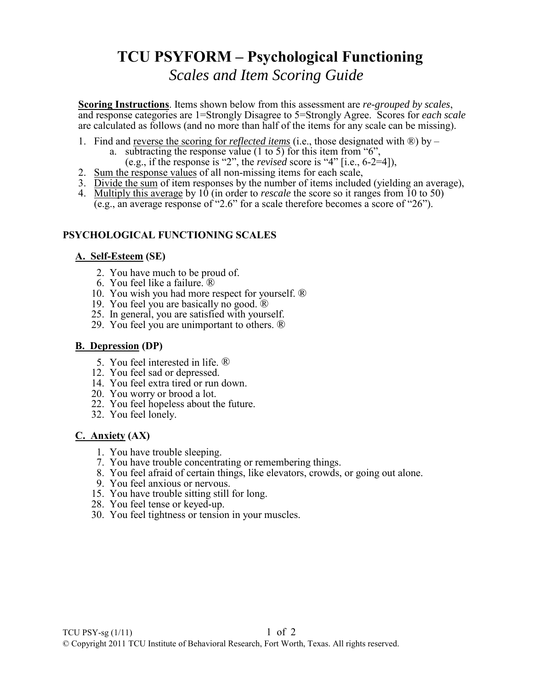# **TCU PSYFORM – Psychological Functioning**

*Scales and Item Scoring Guide*

**Scoring Instructions**. Items shown below from this assessment are *re-grouped by scales*, and response categories are 1=Strongly Disagree to 5=Strongly Agree. Scores for *each scale* are calculated as follows (and no more than half of the items for any scale can be missing).

- 1. Find and reverse the scoring for *reflected items* (i.e., those designated with ®) by
	- a. subtracting the response value  $(1 \text{ to } 5)$  for this item from "6",
		- (e.g., if the response is "2", the *revised* score is "4" [i.e., 6-2=4]),
- 2. Sum the response values of all non-missing items for each scale,
- 3. Divide the sum of item responses by the number of items included (yielding an average),
- 4. Multiply this average by 10 (in order to *rescale* the score so it ranges from 10 to 50) (e.g., an average response of "2.6" for a scale therefore becomes a score of "26").

## **PSYCHOLOGICAL FUNCTIONING SCALES**

### **A. Self-Esteem (SE)**

- 2. You have much to be proud of.
- 6. You feel like a failure. ®
- 10. You wish you had more respect for yourself. ®
- 19. You feel you are basically no good.  $\mathbb{\hat{R}}$
- 25. In general, you are satisfied with yourself.
- 29. You feel you are unimportant to others. ®

### **B. Depression (DP)**

- 5. You feel interested in life. ®
- 12. You feel sad or depressed.
- 14. You feel extra tired or run down.
- 20. You worry or brood a lot.
- 22. You feel hopeless about the future.
- 32. You feel lonely.

### **C. Anxiety (AX)**

- 1. You have trouble sleeping.
- 7. You have trouble concentrating or remembering things.
- 8. You feel afraid of certain things, like elevators, crowds, or going out alone.
- 9. You feel anxious or nervous.
- 15. You have trouble sitting still for long.
- 28. You feel tense or keyed-up.
- 30. You feel tightness or tension in your muscles.